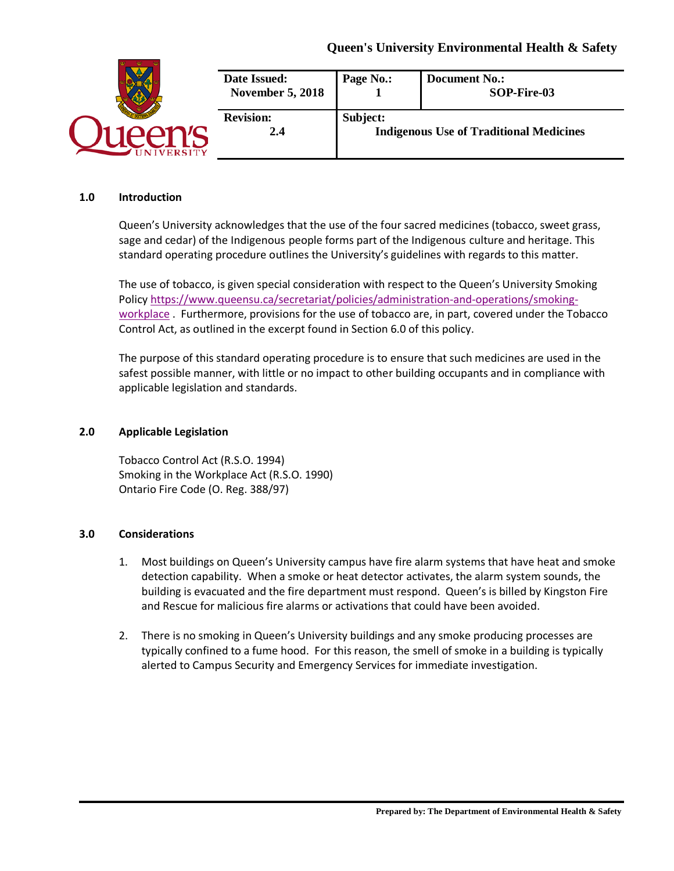# **Queen's University Environmental Health & Safety**

| <b>ERSITY</b> | Date Issued:<br><b>November 5, 2018</b> | Page No.:                                                  | <b>Document No.:</b><br>SOP-Fire-03 |
|---------------|-----------------------------------------|------------------------------------------------------------|-------------------------------------|
|               | <b>Revision:</b><br>2.4                 | Subject:<br><b>Indigenous Use of Traditional Medicines</b> |                                     |

#### **1.0 Introduction**

Queen's University acknowledges that the use of the four sacred medicines (tobacco, sweet grass, sage and cedar) of the Indigenous people forms part of the Indigenous culture and heritage. This standard operating procedure outlines the University's guidelines with regards to this matter.

The use of tobacco, is given special consideration with respect to the Queen's University Smoking Polic[y https://www.queensu.ca/secretariat/policies/administration-and-operations/smoking](https://www.queensu.ca/secretariat/policies/administration-and-operations/smoking-workplace)[workplace](https://www.queensu.ca/secretariat/policies/administration-and-operations/smoking-workplace) . Furthermore, provisions for the use of tobacco are, in part, covered under the Tobacco Control Act, as outlined in the excerpt found in Section 6.0 of this policy.

The purpose of this standard operating procedure is to ensure that such medicines are used in the safest possible manner, with little or no impact to other building occupants and in compliance with applicable legislation and standards.

### **2.0 Applicable Legislation**

Tobacco Control Act (R.S.O. 1994) Smoking in the Workplace Act (R.S.O. 1990) Ontario Fire Code (O. Reg. 388/97)

## **3.0 Considerations**

- 1. Most buildings on Queen's University campus have fire alarm systems that have heat and smoke detection capability. When a smoke or heat detector activates, the alarm system sounds, the building is evacuated and the fire department must respond. Queen's is billed by Kingston Fire and Rescue for malicious fire alarms or activations that could have been avoided.
- 2. There is no smoking in Queen's University buildings and any smoke producing processes are typically confined to a fume hood. For this reason, the smell of smoke in a building is typically alerted to Campus Security and Emergency Services for immediate investigation.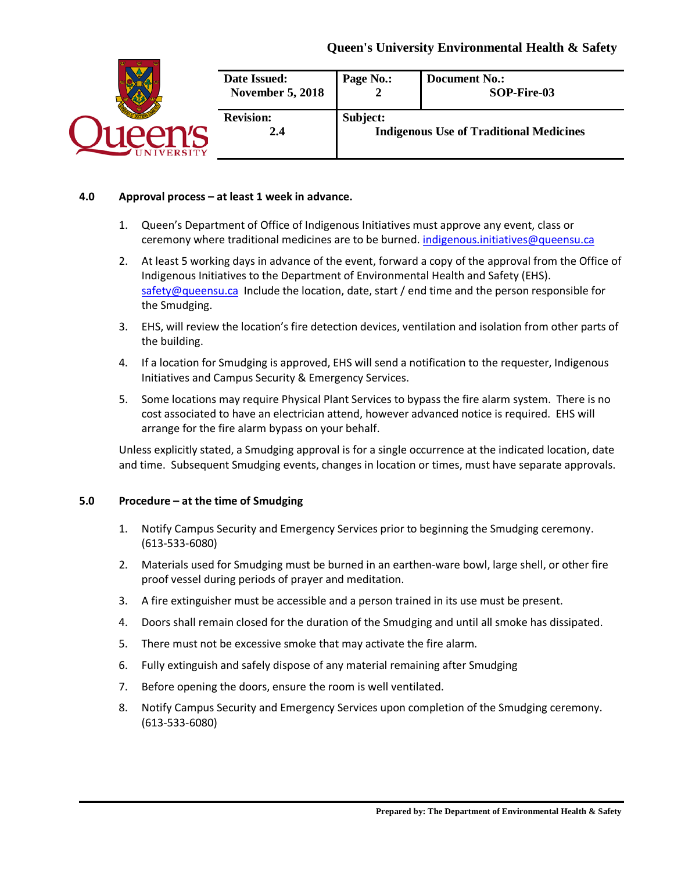# **Queen's University Environmental Health & Safety**



## **4.0 Approval process – at least 1 week in advance.**

- 1. Queen's Department of Office of Indigenous Initiatives must approve any event, class or ceremony where traditional medicines are to be burned. [indigenous.initiatives@queensu.ca](mailto:indigenous.initiatives@queensu.ca)
- 2. At least 5 working days in advance of the event, forward a copy of the approval from the Office of Indigenous Initiatives to the Department of Environmental Health and Safety (EHS). [safety@queensu.ca](mailto:safety@queensu.ca) Include the location, date, start / end time and the person responsible for the Smudging.
- 3. EHS, will review the location's fire detection devices, ventilation and isolation from other parts of the building.
- 4. If a location for Smudging is approved, EHS will send a notification to the requester, Indigenous Initiatives and Campus Security & Emergency Services.
- 5. Some locations may require Physical Plant Services to bypass the fire alarm system. There is no cost associated to have an electrician attend, however advanced notice is required. EHS will arrange for the fire alarm bypass on your behalf.

Unless explicitly stated, a Smudging approval is for a single occurrence at the indicated location, date and time. Subsequent Smudging events, changes in location or times, must have separate approvals.

#### **5.0 Procedure – at the time of Smudging**

- 1. Notify Campus Security and Emergency Services prior to beginning the Smudging ceremony. (613-533-6080)
- 2. Materials used for Smudging must be burned in an earthen-ware bowl, large shell, or other fire proof vessel during periods of prayer and meditation.
- 3. A fire extinguisher must be accessible and a person trained in its use must be present.
- 4. Doors shall remain closed for the duration of the Smudging and until all smoke has dissipated.
- 5. There must not be excessive smoke that may activate the fire alarm.
- 6. Fully extinguish and safely dispose of any material remaining after Smudging
- 7. Before opening the doors, ensure the room is well ventilated.
- 8. Notify Campus Security and Emergency Services upon completion of the Smudging ceremony. (613-533-6080)